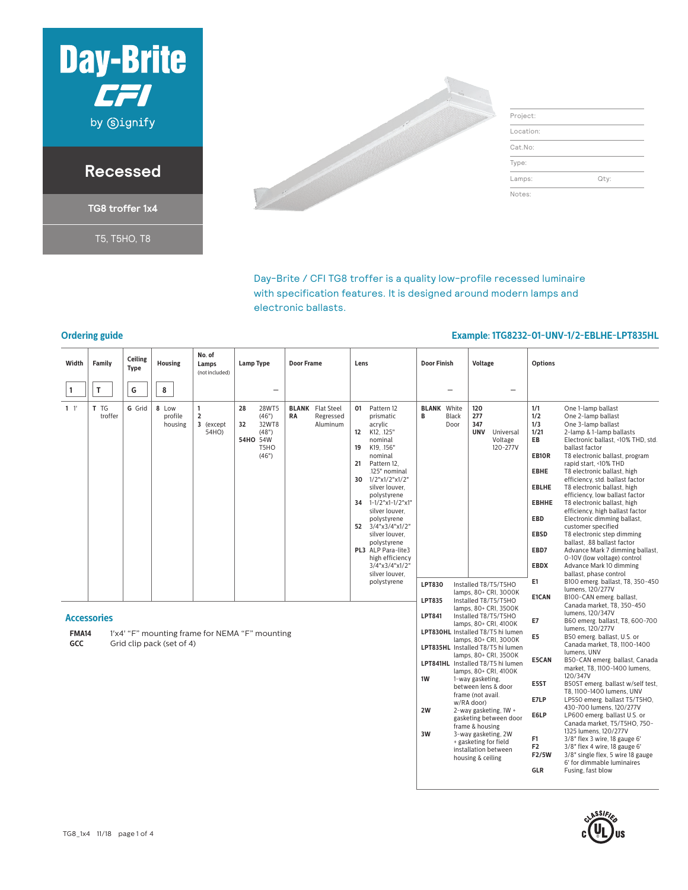

### **Recessed**

**TG8 troffer 1x4**

T5, T5HO, T8



Day-Brite / CFI TG8 troffer is a quality low-profile recessed luminaire with specification features. It is designed around modern lamps and electronic ballasts.

#### **Ordering guide Example: 1TG8232-01-UNV-1/2-EBLHE-LPT835HL**

#### **Width Family Ceiling Type Housing No. of Lamps** (not included) **Lamp Type Door Frame Lens Door Finish Voltage Options 1 T G 8 1 B** ––– **1** 1' **T** TG troffer **G** Grid **8** Low profile housing **1 2 3** (except 54HO) **28** 28WT5 (46") **32** 32WT8 (48") **54HO** 54W T5HO (46") **BLANK** Flat Steel **RA** Regressed Aluminum **01** Pattern 12 prismatic acrylic **12** K12, .125" nominal **19** K19, .156" nominal **21** Pattern 12, .125" nominal **30** 1/2"x1/2"x1/2" silver louver, polystyrene **34** 1-1/2"x1-1/2"x1" silver louver, polystyrene **52** 3/4"x3/4"x1/2" silver louver, polystyrene **PL3** ALP Para-lite3 high efficiency 3/4"x3/4"x1/2" silver louver, polystyrene **BLANK** White **B** Black Door **120 277 347** Universal Voltage 120-277V **1/1** One 1-lamp ballast **1/2** One 2-lamp ballast **1/3** One 3-lamp ballast **1/21** 2-lamp & 1-lamp ballasts **EB** Electronic ballast, <10% THD, std. ballast factor **EB10R** T8 electronic ballast, program rapid start, <10% THD **EBHE** T8 electronic ballast, high efficiency, std. ballast factor **EBLHE** T8 electronic ballast, high efficiency, low ballast factor **EBHHE** T8 electronic ballast, high efficiency, high ballast factor **EBD** Electronic dimming ballast, customer specified **EBSD** T8 electronic step dimming ballast, .88 ballast factor **EBD7** Advance Mark 7 dimming ballast, 0-10V (low voltage) control **E** Mark 10 dimming phase control **E1** B100 emerg. ballast, T8, 350-450  $120/277V$ **E1CAN** B100-CAN emerg. ballast, Canada market, T8, 350-450 **LPT83** lamps, 80+ CRI, 3000K **LPT83**

#### **Accessories**

**FMA14** 1'x4' "F" mounting frame for NEMA "F" mounting<br>**GCC** Grid clip pack (set of 4) Grid clip pack (set of 4)

|               |                                                                                                                                                                 |                                                                                        | <b>EBSD</b>                                      | T8 electronic step dimming                                                                                                                                                        |  |  |  |  |
|---------------|-----------------------------------------------------------------------------------------------------------------------------------------------------------------|----------------------------------------------------------------------------------------|--------------------------------------------------|-----------------------------------------------------------------------------------------------------------------------------------------------------------------------------------|--|--|--|--|
|               |                                                                                                                                                                 |                                                                                        | EBD7                                             | ballast. .88 ballast factor<br>Advance Mark 7 dimming ballast,<br>0-10V (low voltage) control                                                                                     |  |  |  |  |
|               |                                                                                                                                                                 |                                                                                        | <b>EBDX</b>                                      | Advance Mark 10 dimming<br>ballast, phase control                                                                                                                                 |  |  |  |  |
| LPT830        |                                                                                                                                                                 | Installed T8/T5/T5HO                                                                   | E1                                               | B100 emerg. ballast, T8, 350-450<br>lumens. 120/277V                                                                                                                              |  |  |  |  |
| <b>LPT835</b> |                                                                                                                                                                 | lamps. 80+ CRI. 3000K<br>Installed T8/T5/T5HO<br>lamps. 80+ CRI. 3500K                 | E1CAN                                            | B100-CAN emerg. ballast,<br>Canada market, T8, 350-450                                                                                                                            |  |  |  |  |
| LPT841        |                                                                                                                                                                 | Installed T8/T5/T5HO<br>lamps. 80+ CRI. 4100K                                          | E7                                               | lumens. 120/347V<br>B60 emerg. ballast, T8, 600-700<br>lumens. 120/277V                                                                                                           |  |  |  |  |
|               |                                                                                                                                                                 | LPT830HL Installed T8/T5 hi lumen<br>lamps. 80+ CRI. 3000K                             | E5                                               | B50 emerg. ballast, U.S. or<br>Canada market, T8, 1100-1400                                                                                                                       |  |  |  |  |
| LPT841HL      |                                                                                                                                                                 | LPT835HL Installed T8/T5 hi lumen<br>lamps. 80+ CRI. 3500K<br>Installed T8/T5 hi lumen | E5CAN                                            | lumens. UNV<br>B50-CAN emerg. ballast, Canada<br>market, T8, 1100-1400 lumens,                                                                                                    |  |  |  |  |
| 1W            |                                                                                                                                                                 | lamps. 80+ CRI. 4100K<br>1-way gasketing.<br>between lens & door                       | E5ST                                             | 120/347V<br>B50ST emerg. ballast w/self test,<br>T8, 1100-1400 lumens, UNV                                                                                                        |  |  |  |  |
|               |                                                                                                                                                                 | frame (not avail.<br>w/RA door)                                                        | E7LP                                             | LP550 emerg. ballast T5/T5HO,<br>430-700 lumens, 120/277V                                                                                                                         |  |  |  |  |
| 2W            | 2-way gasketing, 1W +<br>gasketing between door<br>frame & housing<br>3-way gasketing, 2W<br>+ gasketing for field<br>installation between<br>housing & ceiling |                                                                                        | E6LP                                             | LP600 emerg. ballast U.S. or<br>Canada market, T5/T5HO, 750-                                                                                                                      |  |  |  |  |
| 3W            |                                                                                                                                                                 |                                                                                        | F <sub>1</sub><br>F <sub>2</sub><br>F2/5W<br>GLR | 1325 lumens, 120/277V<br>3/8" flex 3 wire, 18 gauge 6'<br>$3/8"$ flex 4 wire, 18 gauge 6'<br>3/8" single flex, 5 wire 18 gauge<br>6' for dimmable luminaires<br>Fusing, fast blow |  |  |  |  |
|               |                                                                                                                                                                 |                                                                                        |                                                  |                                                                                                                                                                                   |  |  |  |  |

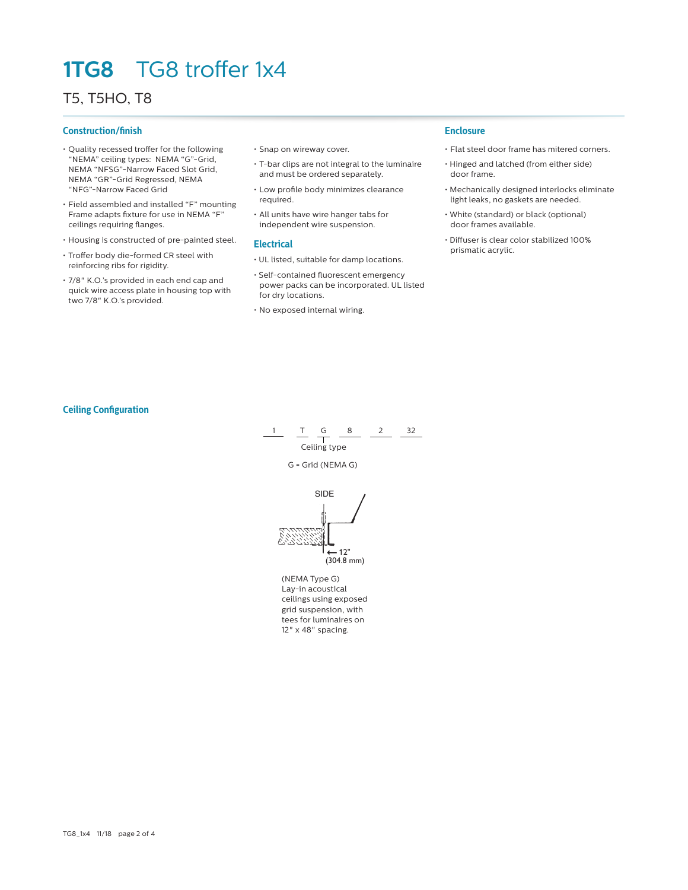## **1TG8** TG8 troffer 1x4

### T5, T5HO, T8

#### **Construction/finish**

- Quality recessed troffer for the following "NEMA" ceiling types: NEMA "G"-Grid, NEMA "NFSG"-Narrow Faced Slot Grid, NEMA "GR"-Grid Regressed, NEMA "NFG"-Narrow Faced Grid
- Field assembled and installed "F" mounting Frame adapts fixture for use in NEMA "F" ceilings requiring flanges.
- Housing is constructed of pre-painted steel.
- Troffer body die-formed CR steel with reinforcing ribs for rigidity.
- 7/8" K.O.'s provided in each end cap and quick wire access plate in housing top with two 7/8" K.O.'s provided.
- Snap on wireway cover.
- T-bar clips are not integral to the luminaire and must be ordered separately.
- Low profile body minimizes clearance required.
- All units have wire hanger tabs for independent wire suspension.

#### **Electrical**

- UL listed, suitable for damp locations.
- Self-contained fluorescent emergency power packs can be incorporated. UL listed for dry locations.
- No exposed internal wiring.

#### **Enclosure**

- Flat steel door frame has mitered corners.
- Hinged and latched (from either side) door frame.
- Mechanically designed interlocks eliminate light leaks, no gaskets are needed.
- White (standard) or black (optional) door frames available.
- Diffuser is clear color stabilized 100% prismatic acrylic.

#### **Ceiling Configuration**

1 T G 8 2 32 G = Grid (NEMA G) Ceiling type

➞12" SIDE (304.8 mm)

(NEMA Type G) Lay-in acoustical ceilings using exposed grid suspension, with tees for luminaires on 12" x 48" spacing.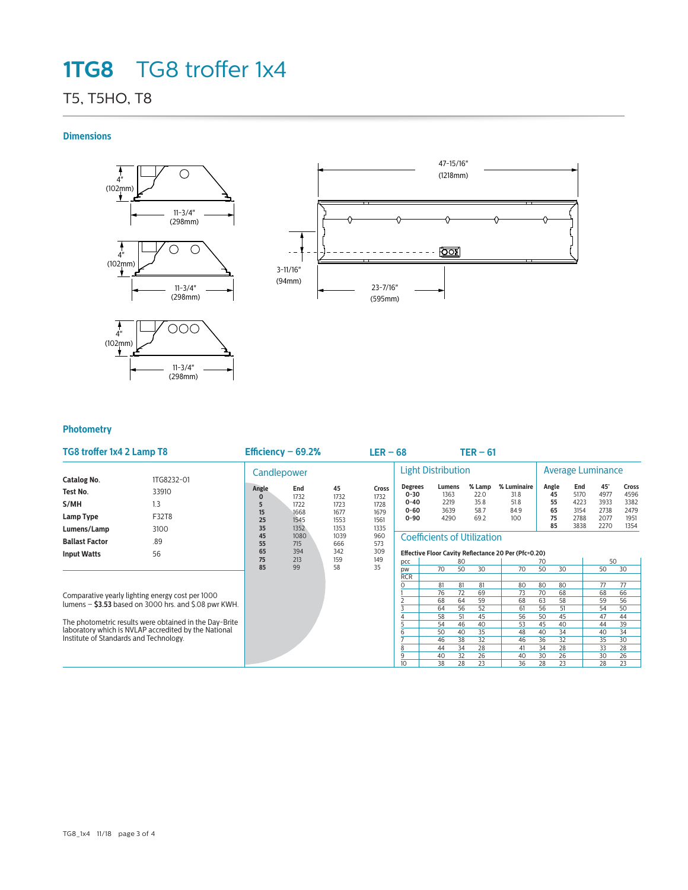## **1TG8** TG8 troffer 1x4

## T5, T5HO, T8

**Dimensions**





#### **Photometry**

| TG8 troffer 1x4 2 Lamp T8                                                                                                                                                                                                                                               |                                             | Efficiency $-69.2%$     |                                             |                                            | $LER - 68$                                    |                                                                                            |                                                                      | $TER - 61$                                                                              |                                              |                                                                |                                               |                                                    |                                                      |
|-------------------------------------------------------------------------------------------------------------------------------------------------------------------------------------------------------------------------------------------------------------------------|---------------------------------------------|-------------------------|---------------------------------------------|--------------------------------------------|-----------------------------------------------|--------------------------------------------------------------------------------------------|----------------------------------------------------------------------|-----------------------------------------------------------------------------------------|----------------------------------------------|----------------------------------------------------------------|-----------------------------------------------|----------------------------------------------------|------------------------------------------------------|
|                                                                                                                                                                                                                                                                         |                                             | Candlepower             |                                             |                                            |                                               |                                                                                            | <b>Light Distribution</b>                                            |                                                                                         |                                              | Average Luminance                                              |                                               |                                                    |                                                      |
| <b>Catalog No.</b><br>Test No.<br>S/MH<br>Lamp Type<br>Lumens/Lamp                                                                                                                                                                                                      | 1TG8232-01<br>33910<br>1.3<br>F32T8<br>3100 | Angle<br>15<br>25<br>35 | End<br>1732<br>1722<br>1668<br>1545<br>1352 | 45<br>1732<br>1723<br>1677<br>1553<br>1353 | Cross<br>1732<br>1728<br>1679<br>1561<br>1335 | <b>Degrees</b><br>$0 - 30$<br>$0 - 40$<br>$0 - 60$<br>$0 - 90$                             | Lumens<br>1363<br>2219<br>3639<br>4290                               | % Lamp<br>22.0<br>35.8<br>58.7<br>69.2                                                  | % Luminaire<br>31.8<br>51.8<br>84.9<br>100   | Angle<br>45<br>55<br>65<br>75<br>85                            | End<br>5170<br>4223<br>3154<br>2788<br>3838   | $45^\circ$<br>4977<br>3933<br>2738<br>2077<br>2270 | <b>Cross</b><br>4596<br>3382<br>2479<br>1951<br>1354 |
| <b>Ballast Factor</b>                                                                                                                                                                                                                                                   | .89                                         | 45<br>55<br>65          | 1080<br>715<br>394                          | 1039<br>666<br>342                         | 960<br>573<br>309                             | <b>Coefficients of Utilization</b><br>Effective Floor Cavity Reflectance 20 Per (Pfc=0.20) |                                                                      |                                                                                         |                                              |                                                                |                                               |                                                    |                                                      |
| <b>Input Watts</b>                                                                                                                                                                                                                                                      | 56                                          | 75<br>85                | 213<br>99                                   | 159<br>58                                  | 149<br>35                                     | pcc<br><b>DW</b><br><b>RCR</b>                                                             | 80<br>70<br>50                                                       | 30                                                                                      | 70                                           | 70<br>50<br>30                                                 |                                               | 50<br>50                                           | 30                                                   |
| Comparative yearly lighting energy cost per 1000<br>lumens $-$ \$3.53 based on 3000 hrs. and \$.08 pwr KWH.<br>The photometric results were obtained in the Day-Brite<br>laboratory which is NVLAP accredited by the National<br>Institute of Standards and Technology. |                                             |                         |                                             |                                            |                                               | ი<br>6                                                                                     | 81<br>81<br>76<br>64<br>68<br>64<br>58<br>46<br>54<br>50<br>40<br>46 | 81<br>72<br>69<br>59<br>56<br>52<br>51<br>45<br>40<br>35<br>38<br>32<br>$\overline{28}$ | 80<br>73<br>68<br>61<br>56<br>53<br>48<br>46 | 80<br>70<br>68<br>63<br>56<br>50<br>45<br>45<br>34<br>40<br>36 | 80<br>58<br>51<br>40<br>32<br>$\overline{28}$ | 77<br>68<br>59<br>54<br>47<br>44<br>40<br>35<br>33 | 77<br>66<br>56<br>50<br>44<br>39<br>34<br>30<br>28   |
|                                                                                                                                                                                                                                                                         |                                             |                         |                                             |                                            |                                               | 8<br>9<br>10 <sup>2</sup>                                                                  | 34<br>44<br>40<br>38                                                 | 26<br>32<br>28<br>23                                                                    | 41<br>40<br>36                               | 34<br>30<br>28                                                 | 26<br>23                                      | 30<br>28                                           | 26<br>23                                             |